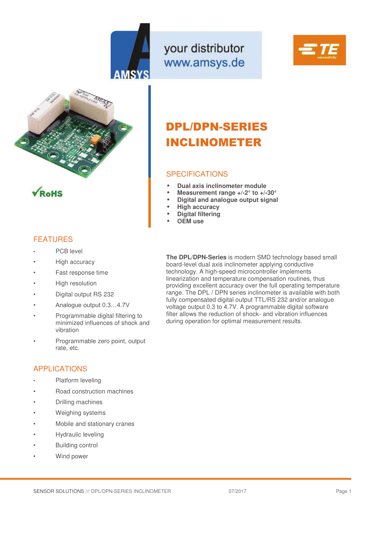

your distributor www.amsys.de







### **FFATURES**

- PCB level
- High accuracy
- Fast response time
- High resolution
- Digital output RS 232
- Analoque output 0.3...4.7V
- Programmable digital filtering to minimized influences of shock and vibration
- Programmable zero point, output rate, etc.

### APPLICATIONS

- Platform leveling
- Road construction machines
- Drilling machines
- Weighing systems
- Mobile and stationary cranes
- Hydraulic leveling
- Building control
- Wind power

# DPL/DPN-SERIES INCLINOMETER

### SPECIFICATIONS

- **Dual axis inclinometer module**
- **Measurement range +/-2° to +/-30°**
- **Digital and analogue output signal**
- **High accuracy**
- **Digital filtering**
- **OEM use**

**The DPL/DPN-Series** is modern SMD technology based small board-level dual axis inclinometer applying conductive technology. A high-speed microcontroller implements linearization and temperature compensation routines, thus providing excellent accuracy over the full operating temperature range. The DPL / DPN series inclinometer is available with both fully compensated digital output TTL/RS 232 and/or analogue voltage output 0.3 to 4.7V. A programmable digital software filter allows the reduction of shock- and vibration influences during operation for optimal measurement results.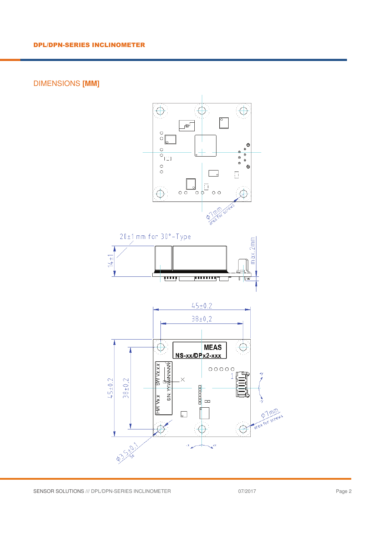# DIMENSIONS **[MM]**

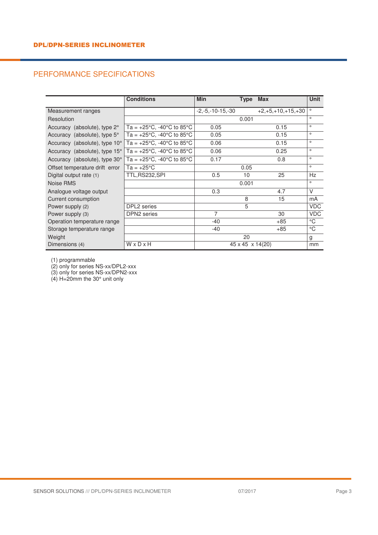# PERFORMANCE SPECIFICATIONS

|                                                                            | <b>Conditions</b>                                         | <b>Min</b>                   | <b>Type</b> | Max                 | <b>Unit</b> |
|----------------------------------------------------------------------------|-----------------------------------------------------------|------------------------------|-------------|---------------------|-------------|
| Measurement ranges                                                         |                                                           | $-2,-5,-10-15,-30$           |             | $+2,+5,+10,+15,+30$ | $\circ$     |
| Resolution                                                                 |                                                           |                              | 0.001       |                     | $\circ$     |
| Accuracy (absolute), type $2^{\circ}$                                      | Ta = $+25^{\circ}$ C, -40 $^{\circ}$ C to 85 $^{\circ}$ C | 0.05                         |             | 0.15                | $\circ$     |
| Accuracy (absolute), type 5°                                               | Ta = $+25^{\circ}$ C, -40 $^{\circ}$ C to 85 $^{\circ}$ C | 0.05                         |             | 0.15                | $\circ$     |
| Accuracy (absolute), type $10^{\circ}$   Ta = +25°C, -40°C to 85°C         |                                                           | 0.06                         |             | 0.15                | $\circ$     |
| Accuracy (absolute), type $15^{\circ}$ Ta = $+25^{\circ}$ C, -40°C to 85°C |                                                           | 0.06                         |             | 0.25                | $\circ$     |
| Accuracy (absolute), type 30°                                              | $T_a = +25^{\circ}C$ , -40°C to 85°C                      | 0.17                         |             | 0.8                 | $\circ$     |
| Offset temperature drift error                                             | Ta = $+25^{\circ}$ C                                      |                              | 0.05        |                     | $\circ$     |
| Digital output rate (1)                                                    | TTL,RS232,SPI                                             | 0.5                          | 10          | 25                  | Hz          |
| Noise RMS                                                                  |                                                           |                              | 0.001       |                     | $\circ$     |
| Analogue voltage output                                                    |                                                           | 0.3                          |             | 4.7                 | $\vee$      |
| Current consumption                                                        |                                                           |                              | 8           | 15                  | mA          |
| Power supply (2)                                                           | DPL2 series                                               |                              | 5           |                     | <b>VDC</b>  |
| Power supply (3)                                                           | <b>DPN2</b> series                                        | $\overline{7}$               |             | 30                  | <b>VDC</b>  |
| Operation temperature range                                                |                                                           | $-40$                        |             | $+85$               | °C          |
| Storage temperature range                                                  |                                                           | $-40$                        |             | $+85$               | °C          |
| Weight                                                                     |                                                           |                              | 20          |                     | g           |
| Dimensions (4)                                                             | WxDxH                                                     | $45 \times 45 \times 14(20)$ |             | mm                  |             |

(1) programmable

(2) only for series NS-xx/DPL2-xxx

(3) only for series NS-xx/DPN2-xxx

(4) H=20mm the 30° unit only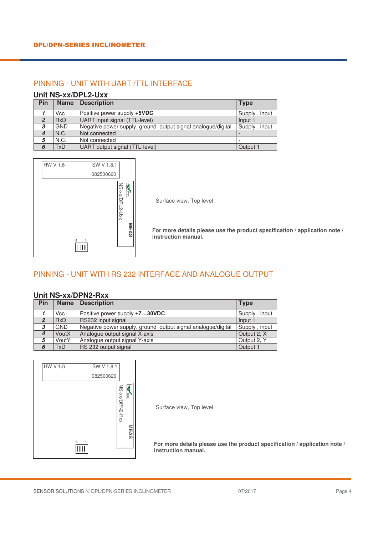### PINNING - UNIT WITH UART /TTL INTERFACE

#### **Unit NS-xx/DPL2-Uxx**

| Pin              | <b>Name</b> | <b>Description</b>                                           | <b>Type</b>              |
|------------------|-------------|--------------------------------------------------------------|--------------------------|
|                  | Vcc         | Positive power supply +5VDC                                  | Supply, input            |
| $\mathcal{P}$    | <b>RxD</b>  | UART input signal (TTL-level)                                | Input 1                  |
| 3                | <b>GND</b>  | Negative power supply, ground output signal analogue/digital | Supply, input            |
| $\boldsymbol{4}$ | N.C.        | Not connected                                                |                          |
| 5                | N.C.        | Not connected                                                | $\overline{\phantom{0}}$ |
| 6                | <b>TxD</b>  | UART output signal (TTL-level)                               | Output 1                 |



Surface view, Top level

**For more details please use the product specification / application note / instruction manual.** 

## PINNING - UNIT WITH RS 232 INTERFACE AND ANALOGUE OUTPUT

#### **Unit NS-xx/DPN2-Rxx**

| Pin              | <b>Name</b> | <b>Description</b>                                           | <b>Type</b>   |
|------------------|-------------|--------------------------------------------------------------|---------------|
|                  | Vcc         | Positive power supply +730VDC                                | Supply, input |
| $\overline{2}$   | <b>RxD</b>  | RS232 input signal                                           | Input 1       |
| 3                | <b>GND</b>  | Negative power supply, ground output signal analogue/digital | Supply, input |
| $\boldsymbol{4}$ | VoutX       | Analogue output signal X-axis                                | Output 2, X   |
| 5                | VoutY       | Analogue output signal Y-axis                                | Output 2, Y   |
| 6                | <b>TxD</b>  | RS 232 output signal                                         | Output 1      |



Surface view, Top level

**For more details please use the product specification / application note / instruction manual.**